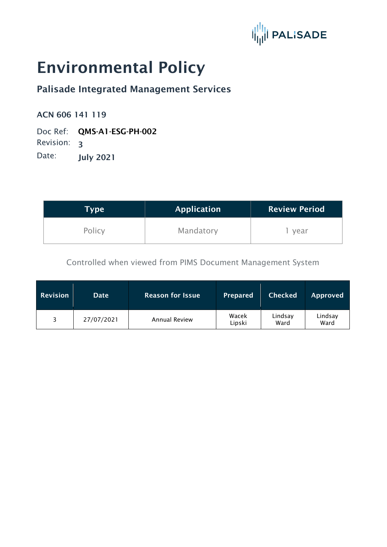

# Environmental Policy

## Palisade Integrated Management Services

#### ACN 606 141 119

Doc Ref: QMS-A1-ESG-PH-002 Revision: 3

Date: **July 2021** 

| Type   | <b>Application</b> | <b>Review Period</b> |  |
|--------|--------------------|----------------------|--|
| Policy | Mandatory          | year                 |  |

Controlled when viewed from PIMS Document Management System

| <b>Revision</b> | <b>Date</b> | <b>Reason for Issue</b> | <b>Prepared</b> | <b>Checked</b>  | Approved        |
|-----------------|-------------|-------------------------|-----------------|-----------------|-----------------|
| ₹               | 27/07/2021  | <b>Annual Review</b>    | Wacek<br>Lipski | Lindsay<br>Ward | Lindsay<br>Ward |